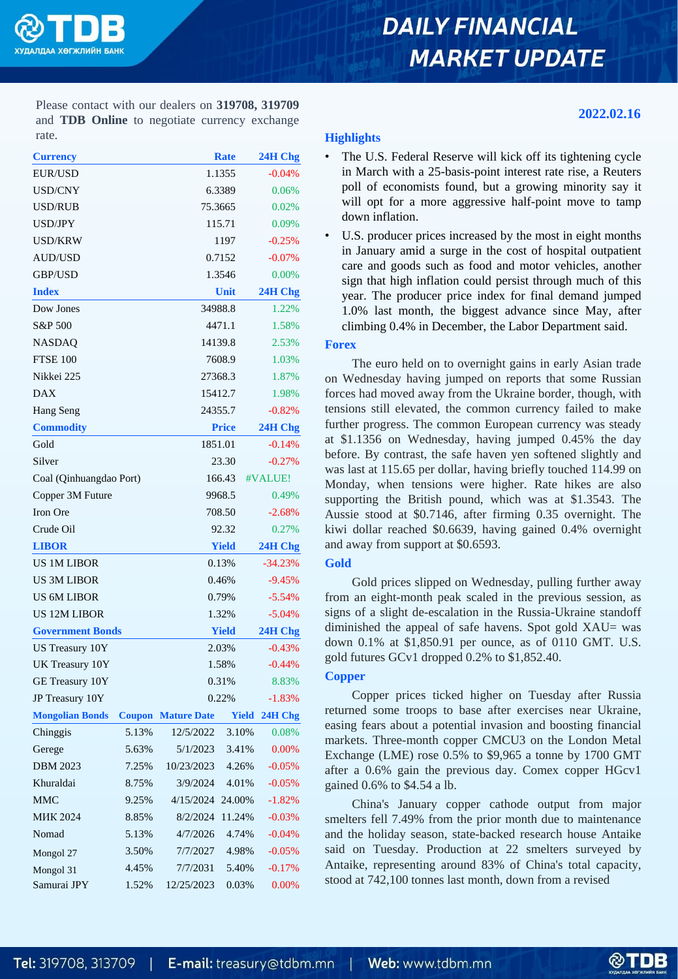

# **DAILY FINANCIAL MARKET UPDATE**

Please contact with our dealers on **319708, 319709** and **TDB Online** to negotiate currency exchange rate.

| <b>Currency</b>         |               |                    | <b>Rate</b>       | 24H Chg  |  |
|-------------------------|---------------|--------------------|-------------------|----------|--|
| <b>EUR/USD</b>          |               |                    | 1.1355            |          |  |
| USD/CNY                 |               |                    | 6.3389            |          |  |
| USD/RUB                 |               |                    | 75.3665           |          |  |
| USD/JPY                 |               |                    | 115.71            | 0.09%    |  |
| USD/KRW                 |               |                    | 1197              |          |  |
| AUD/USD                 |               |                    | 0.7152            |          |  |
| <b>GBP/USD</b>          |               |                    | 1.3546            |          |  |
| <b>Index</b>            |               |                    | Unit              | 24H Chg  |  |
| Dow Jones               |               |                    | 34988.8           | 1.22%    |  |
| S&P 500                 |               |                    | 4471.1            | 1.58%    |  |
| <b>NASDAQ</b>           |               |                    | 14139.8           |          |  |
| <b>FTSE 100</b>         |               |                    | 7608.9            |          |  |
| Nikkei 225              |               |                    | 27368.3           |          |  |
| <b>DAX</b>              |               |                    | 15412.7           |          |  |
| Hang Seng               |               |                    | 24355.7           |          |  |
| <b>Commodity</b>        |               | <b>Price</b>       |                   |          |  |
| Gold                    |               |                    | 1851.01           | $-0.14%$ |  |
| Silver                  |               |                    | 23.30             | $-0.27%$ |  |
| Coal (Qinhuangdao Port) |               |                    | 166.43<br>#VALUE! |          |  |
| Copper 3M Future        |               |                    | 9968.5            | 0.49%    |  |
| Iron Ore                |               |                    | 708.50            | $-2.68%$ |  |
| Crude Oil               |               |                    | 92.32             |          |  |
| <b>LIBOR</b>            |               |                    | <b>Yield</b>      |          |  |
| <b>US 1M LIBOR</b>      |               |                    | 0.13%             |          |  |
| US 3M LIBOR             |               |                    | 0.46%             |          |  |
| <b>US 6M LIBOR</b>      |               | 0.79%              | $-5.54%$          |          |  |
| <b>US 12M LIBOR</b>     |               |                    | 1.32%             |          |  |
| <b>Government Bonds</b> |               | <b>Yield</b>       |                   |          |  |
| US Treasury 10Y         |               | 2.03%              | $-0.43%$          |          |  |
| UK Treasury 10Y         |               | 1.58%              | $-0.44%$          |          |  |
| GE Treasury 10Y         |               | 0.31%              | 8.83%             |          |  |
| JP Treasury 10Y         |               | 0.22%              | $-1.83%$          |          |  |
| <b>Mongolian Bonds</b>  | <b>Coupon</b> | <b>Mature Date</b> | Yield             | 24H Chg  |  |
| Chinggis                | 5.13%         | 12/5/2022          | 3.10%             | 0.08%    |  |
| Gerege                  | 5.63%         | 5/1/2023           | 3.41%             | 0.00%    |  |
| <b>DBM 2023</b>         | 7.25%         | 10/23/2023         | 4.26%             | $-0.05%$ |  |
| Khuraldai               | 8.75%         | 3/9/2024           | 4.01%             | $-0.05%$ |  |
| <b>MMC</b>              | 9.25%         | 4/15/2024          | 24.00%            | $-1.82%$ |  |
| <b>MHK 2024</b>         | 8.85%         | 8/2/2024           | 11.24%            | $-0.03%$ |  |
| Nomad                   | 5.13%         | 4/7/2026           | 4.74%             | $-0.04%$ |  |
| Mongol 27               | 3.50%         | 7/7/2027           | 4.98%             | $-0.05%$ |  |
| Mongol 31               | 4.45%         | 7/7/2031           | 5.40%             | $-0.17%$ |  |
| Samurai JPY             | 1.52%         | 12/25/2023         | 0.03%             | 0.00%    |  |

## **2022.02.16**

### **Highlights**

The U.S. Federal Reserve will kick off its tightening cycle in March with a 25-basis-point interest rate rise, a Reuters poll of economists found, but a growing minority say it will opt for a more aggressive half-point move to tamp down inflation.

• U.S. producer prices increased by the most in eight months in January amid a surge in the cost of hospital outpatient care and goods such as food and motor vehicles, another sign that high inflation could persist through much of this year. The producer price index for final demand jumped 1.0% last month, the biggest advance since May, after climbing 0.4% in December, the Labor Department said.

### **Forex**

The euro held on to overnight gains in early Asian trade on Wednesday having jumped on reports that some Russian forces had moved away from the Ukraine border, though, with tensions still elevated, the common currency failed to make further progress. The common European currency was steady at \$1.1356 on Wednesday, having jumped 0.45% the day before. By contrast, the safe haven yen softened slightly and was last at 115.65 per dollar, having briefly touched 114.99 on Monday, when tensions were higher. Rate hikes are also supporting the British pound, which was at \$1.3543. The Aussie stood at \$0.7146, after firming 0.35 overnight. The kiwi dollar reached \$0.6639, having gained 0.4% overnight and away from support at \$0.6593.

### **Gold**

Gold prices slipped on Wednesday, pulling further away from an eight-month peak scaled in the previous session, as signs of a slight de-escalation in the Russia-Ukraine standoff diminished the appeal of safe havens. Spot gold XAU= was down 0.1% at \$1,850.91 per ounce, as of 0110 GMT. U.S. gold futures GCv1 dropped 0.2% to \$1,852.40.

## **Copper**

Copper prices ticked higher on Tuesday after Russia returned some troops to base after exercises near Ukraine, easing fears about a potential invasion and boosting financial markets. Three-month copper CMCU3 on the London Metal Exchange (LME) rose 0.5% to \$9,965 a tonne by 1700 GMT after a 0.6% gain the previous day. Comex copper HGcv1 gained 0.6% to \$4.54 a lb.

China's January copper cathode output from major smelters fell 7.49% from the prior month due to maintenance and the holiday season, state-backed research house Antaike said on Tuesday. Production at 22 smelters surveyed by Antaike, representing around 83% of China's total capacity, stood at 742,100 tonnes last month, down from a revised